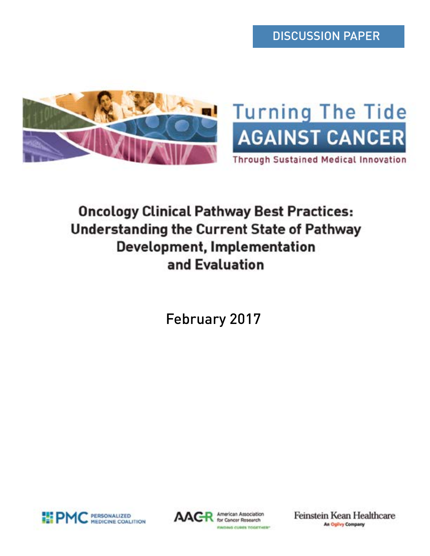DISCUSSION PAPER





**Through Sustained Medical Innovation** 

# **Oncology Clinical Pathway Best Practices: Understanding the Current State of Pathway Development, Implementation** and Evaluation

February 2017





American Association for Cancer Research FINDING CUBES TOGETHER" Feinstein Kean Healthcare **An Ogilvy Company**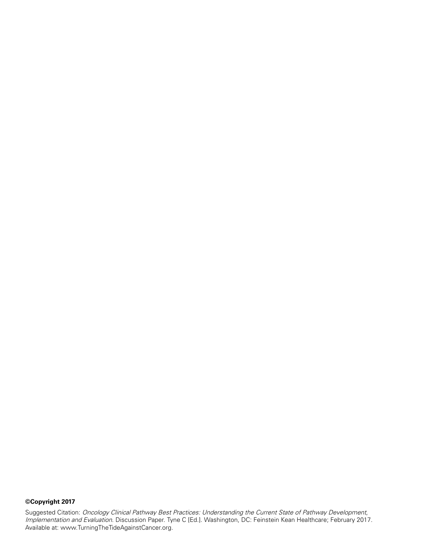# **©Copyright 2017**

Suggested Citation: Oncology Clinical Pathway Best Practices: Understanding the Current State of Pathway Development, Implementation and Evaluation. Discussion Paper. Tyne C [Ed.]. Washington, DC: Feinstein Kean Healthcare; February 2017. Available at: [www.TurningTheTideAgainstCancer.org](http://www.TurningTheTideAgainstCancer.org).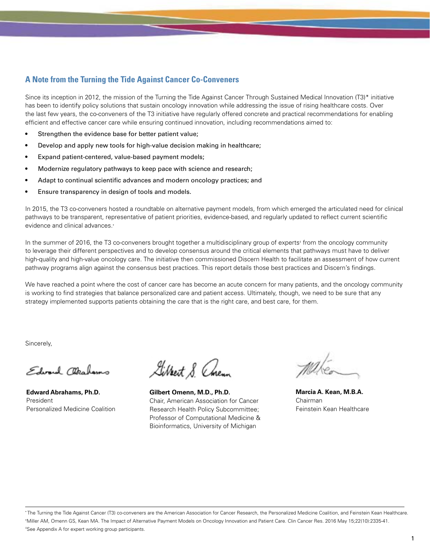# **A Note from the Turning the Tide Against Cancer Co-Conveners**

Since its inception in 2012, the mission of the Turning the Tide Against Cancer Through Sustained Medical Innovation (T3)\* initiative has been to identify policy solutions that sustain oncology innovation while addressing the issue of rising healthcare costs. Over the last few years, the co-conveners of the T3 initiative have regularly offered concrete and practical recommendations for enabling efficient and effective cancer care while ensuring continued innovation, including recommendations aimed to:

- Strengthen the evidence base for better patient value;
- Develop and apply new tools for high-value decision making in healthcare;
- Expand patient-centered, value-based payment models;
- Modernize regulatory pathways to keep pace with science and research;
- Adapt to continual scientific advances and modern oncology practices; and
- Ensure transparency in design of tools and models.

In 2015, the T3 co-conveners hosted a roundtable on alternative payment models, from which emerged the articulated need for clinical pathways to be transparent, representative of patient priorities, evidence-based, and regularly updated to reflect current scientific evidence and clinical advances.†

In the summer of 2016, the T3 co-conveners brought together a multidisciplinary group of experts<sup>‡</sup> from the oncology community to leverage their different perspectives and to develop consensus around the critical elements that pathways must have to deliver high-quality and high-value oncology care. The initiative then commissioned Discern Health to facilitate an assessment of how current pathway programs align against the consensus best practices. This report details those best practices and Discern's findings.

We have reached a point where the cost of cancer care has become an acute concern for many patients, and the oncology community is working to find strategies that balance personalized care and patient access. Ultimately, though, we need to be sure that any strategy implemented supports patients obtaining the care that is the right care, and best care, for them.

Sincerely,

Edward Ottalamo

**Edward Abrahams, Ph.D.** President Personalized Medicine Coalition

Gilbert S. Chenn

**Gilbert Omenn, M.D., Ph.D.** Chair, American Association for Cancer Research Health Policy Subcommittee; Professor of Computational Medicine & Bioinformatics, University of Michigan

**Marcia A. Kean, M.B.A.** Chairman Feinstein Kean Healthcare

\* The Turning the Tide Against Cancer (T3) co-conveners are the American Association for Cancer Research, the Personalized Medicine Coalition, and Feinstein Kean Healthcare. † Miller AM, Omenn GS, Kean MA. The Impact of Alternative Payment Models on Oncology Innovation and Patient Care. Clin Cancer Res. 2016 May 15;22(10):2335-41. ‡ See Appendix A for expert working group participants.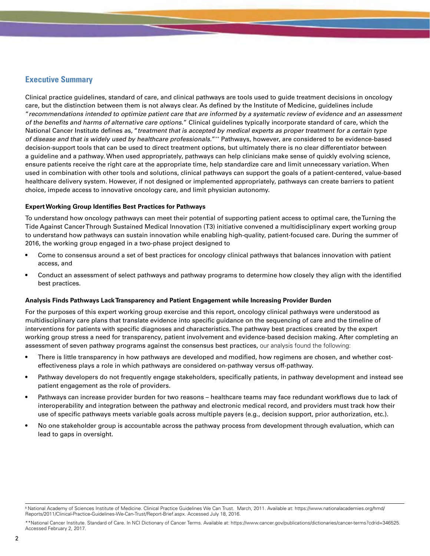# **Executive Summary**

Clinical practice guidelines, standard of care, and clinical pathways are tools used to guide treatment decisions in oncology care, but the distinction between them is not always clear. As defined by the Institute of Medicine, guidelines include "recommendations intended to optimize patient care that are informed by a systematic review of evidence and an assessment of the benefits and harms of alternative care options." Clinical guidelines typically incorporate standard of care, which the National Cancer Institute defines as, "treatment that is accepted by medical experts as proper treatment for a certain type of disease and that is widely used by healthcare professionals."\*\* Pathways, however, are considered to be evidence-based decision-support tools that can be used to direct treatment options, but ultimately there is no clear differentiator between a guideline and a pathway. When used appropriately, pathways can help clinicians make sense of quickly evolving science, ensure patients receive the right care at the appropriate time, help standardize care and limit unnecessary variation. When used in combination with other tools and solutions, clinical pathways can support the goals of a patient-centered, value-based healthcare delivery system. However, if not designed or implemented appropriately, pathways can create barriers to patient choice, impede access to innovative oncology care, and limit physician autonomy.

#### **Expert Working Group Identifies Best Practices for Pathways**

To understand how oncology pathways can meet their potential of supporting patient access to optimal care, the Turning the Tide Against Cancer Through Sustained Medical Innovation (T3) initiative convened a multidisciplinary expert working group to understand how pathways can sustain innovation while enabling high-quality, patient-focused care. During the summer of 2016, the working group engaged in a two-phase project designed to

- Come to consensus around a set of best practices for oncology clinical pathways that balances innovation with patient access, and
- Conduct an assessment of select pathways and pathway programs to determine how closely they align with the identified best practices.

#### **Analysis Finds Pathways Lack Transparency and Patient Engagement while Increasing Provider Burden**

For the purposes of this expert working group exercise and this report, oncology clinical pathways were understood as multidisciplinary care plans that translate evidence into specific guidance on the sequencing of care and the timeline of interventions for patients with specific diagnoses and characteristics. The pathway best practices created by the expert working group stress a need for transparency, patient involvement and evidence-based decision making. After completing an assessment of seven pathway programs against the consensus best practices, our analysis found the following:

- There is little transparency in how pathways are developed and modified, how regimens are chosen, and whether costeffectiveness plays a role in which pathways are considered on-pathway versus off-pathway.
- Pathway developers do not frequently engage stakeholders, specifically patients, in pathway development and instead see patient engagement as the role of providers.
- Pathways can increase provider burden for two reasons healthcare teams may face redundant workflows due to lack of interoperability and integration between the pathway and electronic medical record, and providers must track how their use of specific pathways meets variable goals across multiple payers (e.g., decision support, prior authorization, etc.).
- No one stakeholder group is accountable across the pathway process from development through evaluation, which can lead to gaps in oversight.

\*\*National Cancer Institute. Standard of Care. In NCI Dictionary of Cancer Terms. Available at: https://www.cancer.gov/publications/dictionaries/cancer-terms?cdrid=346525. Accessed February 2, 2017.

<sup>§</sup> National Academy of Sciences Institute of Medicine. Clinical Practice Guidelines We Can Trust. March, 2011. Available at: [https://www.nationalacademies.org/hmd/](https://www.nationalacademies.org/hmd/Reports/2011/Clinical-Practice-Guidelines-We-Can-Trust/Report-Brief.aspx) [Reports/2011/Clinical-Practice-Guidelines-We-Can-Trust/Report-Brief.aspx](https://www.nationalacademies.org/hmd/Reports/2011/Clinical-Practice-Guidelines-We-Can-Trust/Report-Brief.aspx). Accessed July 18, 2016.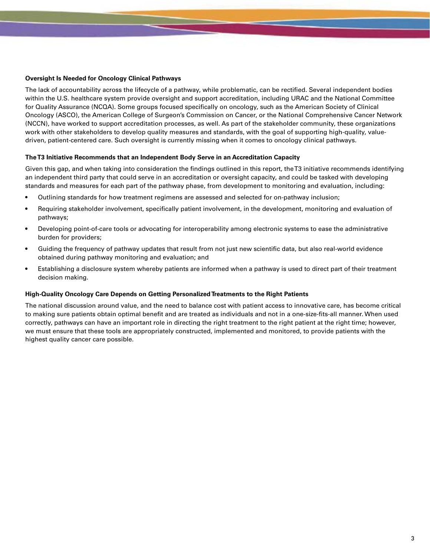#### **Oversight Is Needed for Oncology Clinical Pathways**

The lack of accountability across the lifecycle of a pathway, while problematic, can be rectified. Several independent bodies within the U.S. healthcare system provide oversight and support accreditation, including URAC and the National Committee for Quality Assurance (NCQA). Some groups focused specifically on oncology, such as the American Society of Clinical Oncology (ASCO), the American College of Surgeon's Commission on Cancer, or the National Comprehensive Cancer Network (NCCN), have worked to support accreditation processes, as well. As part of the stakeholder community, these organizations work with other stakeholders to develop quality measures and standards, with the goal of supporting high-quality, valuedriven, patient-centered care. Such oversight is currently missing when it comes to oncology clinical pathways.

#### **The T3 Initiative Recommends that an Independent Body Serve in an Accreditation Capacity**

Given this gap, and when taking into consideration the findings outlined in this report, the T3 initiative recommends identifying an independent third party that could serve in an accreditation or oversight capacity, and could be tasked with developing standards and measures for each part of the pathway phase, from development to monitoring and evaluation, including:

- Outlining standards for how treatment regimens are assessed and selected for on-pathway inclusion;
- Requiring stakeholder involvement, specifically patient involvement, in the development, monitoring and evaluation of pathways;
- Developing point-of-care tools or advocating for interoperability among electronic systems to ease the administrative burden for providers;
- Guiding the frequency of pathway updates that result from not just new scientific data, but also real-world evidence obtained during pathway monitoring and evaluation; and
- Establishing a disclosure system whereby patients are informed when a pathway is used to direct part of their treatment decision making.

#### **High-Quality Oncology Care Depends on Getting Personalized Treatments to the Right Patients**

The national discussion around value, and the need to balance cost with patient access to innovative care, has become critical to making sure patients obtain optimal benefit and are treated as individuals and not in a one-size-fits-all manner. When used correctly, pathways can have an important role in directing the right treatment to the right patient at the right time; however, we must ensure that these tools are appropriately constructed, implemented and monitored, to provide patients with the highest quality cancer care possible.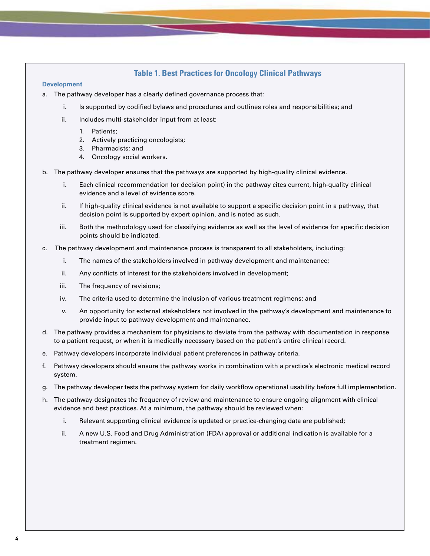# **Table 1. Best Practices for Oncology Clinical Pathways**

#### **Development**

- a. The pathway developer has a clearly defined governance process that:
	- i. Is supported by codified bylaws and procedures and outlines roles and responsibilities; and
	- ii. Includes multi-stakeholder input from at least:
		- 1. Patients;
		- 2. Actively practicing oncologists;
		- 3. Pharmacists; and
		- 4. Oncology social workers.
- b. The pathway developer ensures that the pathways are supported by high-quality clinical evidence.
	- i. Each clinical recommendation (or decision point) in the pathway cites current, high-quality clinical evidence and a level of evidence score.
	- ii. If high-quality clinical evidence is not available to support a specific decision point in a pathway, that decision point is supported by expert opinion, and is noted as such.
	- iii. Both the methodology used for classifying evidence as well as the level of evidence for specific decision points should be indicated.
- c. The pathway development and maintenance process is transparent to all stakeholders, including:
	- i. The names of the stakeholders involved in pathway development and maintenance;
	- ii. Any conflicts of interest for the stakeholders involved in development;
	- iii. The frequency of revisions;
	- iv. The criteria used to determine the inclusion of various treatment regimens; and
	- v. An opportunity for external stakeholders not involved in the pathway's development and maintenance to provide input to pathway development and maintenance.
- d. The pathway provides a mechanism for physicians to deviate from the pathway with documentation in response to a patient request, or when it is medically necessary based on the patient's entire clinical record.
- e. Pathway developers incorporate individual patient preferences in pathway criteria.
- f. Pathway developers should ensure the pathway works in combination with a practice's electronic medical record system.
- g. The pathway developer tests the pathway system for daily workflow operational usability before full implementation.
- h. The pathway designates the frequency of review and maintenance to ensure ongoing alignment with clinical evidence and best practices. At a minimum, the pathway should be reviewed when:
	- i. Relevant supporting clinical evidence is updated or practice-changing data are published;
	- ii. A new U.S. Food and Drug Administration (FDA) approval or additional indication is available for a treatment regimen.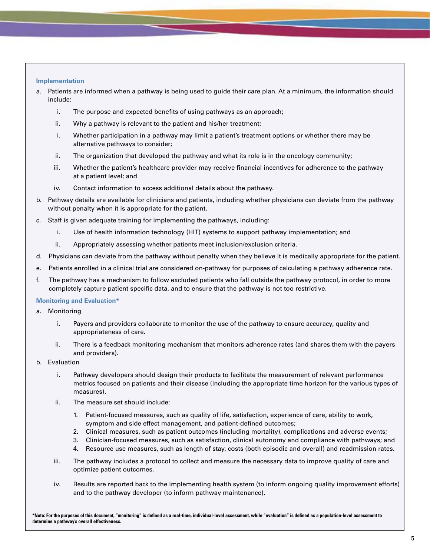#### **Implementation**

- a. Patients are informed when a pathway is being used to guide their care plan. At a minimum, the information should include:
	- i. The purpose and expected benefits of using pathways as an approach;
	- ii. Why a pathway is relevant to the patient and his/her treatment;
	- i. Whether participation in a pathway may limit a patient's treatment options or whether there may be alternative pathways to consider;
	- ii. The organization that developed the pathway and what its role is in the oncology community;
	- iii. Whether the patient's healthcare provider may receive financial incentives for adherence to the pathway at a patient level; and
	- iv. Contact information to access additional details about the pathway.
- b. Pathway details are available for clinicians and patients, including whether physicians can deviate from the pathway without penalty when it is appropriate for the patient.
- c. Staff is given adequate training for implementing the pathways, including:
	- i. Use of health information technology (HIT) systems to support pathway implementation; and
	- ii. Appropriately assessing whether patients meet inclusion/exclusion criteria.
- d. Physicians can deviate from the pathway without penalty when they believe it is medically appropriate for the patient.
- e. Patients enrolled in a clinical trial are considered on-pathway for purposes of calculating a pathway adherence rate.
- f. The pathway has a mechanism to follow excluded patients who fall outside the pathway protocol, in order to more completely capture patient specific data, and to ensure that the pathway is not too restrictive.

#### **Monitoring and Evaluation\***

- a. Monitoring
	- i. Payers and providers collaborate to monitor the use of the pathway to ensure accuracy, quality and appropriateness of care.
	- ii. There is a feedback monitoring mechanism that monitors adherence rates (and shares them with the payers and providers).
- b. Evaluation
	- i. Pathway developers should design their products to facilitate the measurement of relevant performance metrics focused on patients and their disease (including the appropriate time horizon for the various types of measures).
	- ii. The measure set should include:
		- 1. Patient-focused measures, such as quality of life, satisfaction, experience of care, ability to work, symptom and side effect management, and patient-defined outcomes;
		- 2. Clinical measures, such as patient outcomes (including mortality), complications and adverse events;
		- 3. Clinician-focused measures, such as satisfaction, clinical autonomy and compliance with pathways; and
		- 4. Resource use measures, such as length of stay, costs (both episodic and overall) and readmission rates.
	- iii. The pathway includes a protocol to collect and measure the necessary data to improve quality of care and optimize patient outcomes.
	- iv. Results are reported back to the implementing health system (to inform ongoing quality improvement efforts) and to the pathway developer (to inform pathway maintenance).

**\*Note: For the purposes of this document, "monitoring" is defined as a real-time, individual-level assessment, while "evaluation" is defined as a population-level assessment to determine a pathway's overall effectiveness.**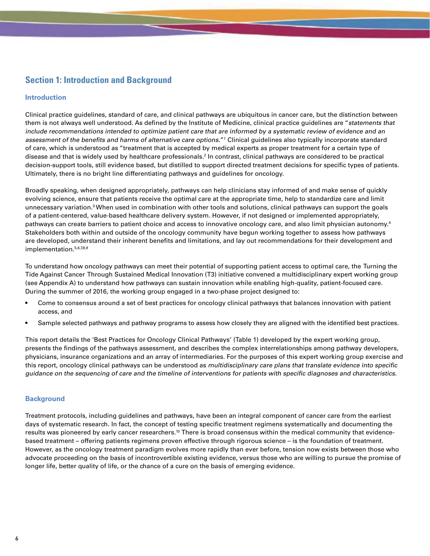# **Section 1: Introduction and Background**

# **Introduction**

Clinical practice guidelines, standard of care, and clinical pathways are ubiquitous in cancer care, but the distinction between them is not always well understood. As defined by the Institute of Medicine, clinical practice guidelines are "statements that include recommendations intended to optimize patient care that are informed by a systematic review of evidence and an assessment of the benefits and harms of alternative care options."1 Clinical guidelines also typically incorporate standard of care, which is understood as "treatment that is accepted by medical experts as proper treatment for a certain type of disease and that is widely used by healthcare professionals.2 In contrast, clinical pathways are considered to be practical decision-support tools, still evidence based, but distilled to support directed treatment decisions for specific types of patients. Ultimately, there is no bright line differentiating pathways and guidelines for oncology.

Broadly speaking, when designed appropriately, pathways can help clinicians stay informed of and make sense of quickly evolving science, ensure that patients receive the optimal care at the appropriate time, help to standardize care and limit unnecessary variation.<sup>3</sup> When used in combination with other tools and solutions, clinical pathways can support the goals of a patient-centered, value-based healthcare delivery system. However, if not designed or implemented appropriately, pathways can create barriers to patient choice and access to innovative oncology care, and also limit physician autonomy.<sup>4</sup> Stakeholders both within and outside of the oncology community have begun working together to assess how pathways are developed, understand their inherent benefits and limitations, and lay out recommendations for their development and implementation.<sup>5,6,7,8,9</sup>

To understand how oncology pathways can meet their potential of supporting patient access to optimal care, the Turning the Tide Against Cancer Through Sustained Medical Innovation (T3) initiative convened a multidisciplinary expert working group (see Appendix A) to understand how pathways can sustain innovation while enabling high-quality, patient-focused care. During the summer of 2016, the working group engaged in a two-phase project designed to:

- Come to consensus around a set of best practices for oncology clinical pathways that balances innovation with patient access, and
- Sample selected pathways and pathway programs to assess how closely they are aligned with the identified best practices.

This report details the 'Best Practices for Oncology Clinical Pathways' (Table 1) developed by the expert working group, presents the findings of the pathways assessment, and describes the complex interrelationships among pathway developers, physicians, insurance organizations and an array of intermediaries. For the purposes of this expert working group exercise and this report, oncology clinical pathways can be understood as multidisciplinary care plans that translate evidence into specific guidance on the sequencing of care and the timeline of interventions for patients with specific diagnoses and characteristics.

# **Background**

Treatment protocols, including guidelines and pathways, have been an integral component of cancer care from the earliest days of systematic research. In fact, the concept of testing specific treatment regimens systematically and documenting the results was pioneered by early cancer researchers.<sup>10</sup> There is broad consensus within the medical community that evidencebased treatment – offering patients regimens proven effective through rigorous science – is the foundation of treatment. However, as the oncology treatment paradigm evolves more rapidly than ever before, tension now exists between those who advocate proceeding on the basis of incontrovertible existing evidence, versus those who are willing to pursue the promise of longer life, better quality of life, or the chance of a cure on the basis of emerging evidence.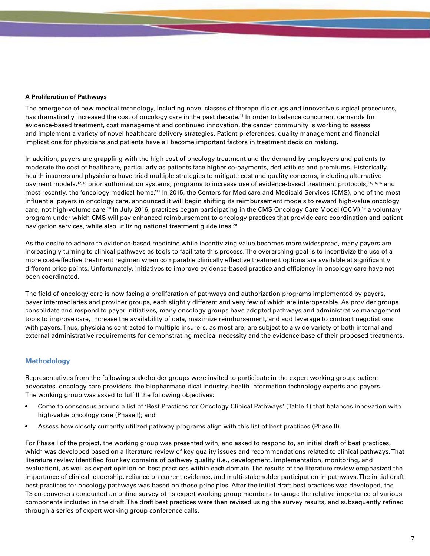### **A Proliferation of Pathways**

The emergence of new medical technology, including novel classes of therapeutic drugs and innovative surgical procedures, has dramatically increased the cost of oncology care in the past decade.<sup>11</sup> In order to balance concurrent demands for evidence-based treatment, cost management and continued innovation, the cancer community is working to assess and implement a variety of novel healthcare delivery strategies. Patient preferences, quality management and financial implications for physicians and patients have all become important factors in treatment decision making.

In addition, payers are grappling with the high cost of oncology treatment and the demand by employers and patients to moderate the cost of healthcare, particularly as patients face higher co-payments, deductibles and premiums. Historically, health insurers and physicians have tried multiple strategies to mitigate cost and quality concerns, including alternative payment models,<sup>12,13</sup> prior authorization systems, programs to increase use of evidence-based treatment protocols,<sup>14,15,16</sup> and most recently, the 'oncology medical home.'17 In 2015, the Centers for Medicare and Medicaid Services (CMS), one of the most influential payers in oncology care, announced it will begin shifting its reimbursement models to reward high-value oncology care, not high-volume care.<sup>18</sup> In July 2016, practices began participating in the CMS Oncology Care Model (OCM),<sup>19</sup> a voluntary program under which CMS will pay enhanced reimbursement to oncology practices that provide care coordination and patient navigation services, while also utilizing national treatment guidelines.<sup>20</sup>

As the desire to adhere to evidence-based medicine while incentivizing value becomes more widespread, many payers are increasingly turning to clinical pathways as tools to facilitate this process. The overarching goal is to incentivize the use of a more cost-effective treatment regimen when comparable clinically effective treatment options are available at significantly different price points. Unfortunately, initiatives to improve evidence-based practice and efficiency in oncology care have not been coordinated.

The field of oncology care is now facing a proliferation of pathways and authorization programs implemented by payers, payer intermediaries and provider groups, each slightly different and very few of which are interoperable. As provider groups consolidate and respond to payer initiatives, many oncology groups have adopted pathways and administrative management tools to improve care, increase the availability of data, maximize reimbursement, and add leverage to contract negotiations with payers. Thus, physicians contracted to multiple insurers, as most are, are subject to a wide variety of both internal and external administrative requirements for demonstrating medical necessity and the evidence base of their proposed treatments.

# **Methodology**

Representatives from the following stakeholder groups were invited to participate in the expert working group: patient advocates, oncology care providers, the biopharmaceutical industry, health information technology experts and payers. The working group was asked to fulfill the following objectives:

- Come to consensus around a list of 'Best Practices for Oncology Clinical Pathways' (Table 1) that balances innovation with high-value oncology care (Phase I); and
- Assess how closely currently utilized pathway programs align with this list of best practices (Phase II).

For Phase I of the project, the working group was presented with, and asked to respond to, an initial draft of best practices, which was developed based on a literature review of key quality issues and recommendations related to clinical pathways.That literature review identified four key domains of pathway quality (i.e., development, implementation, monitoring, and evaluation), as well as expert opinion on best practices within each domain.The results of the literature review emphasized the importance of clinical leadership, reliance on current evidence, and multi-stakeholder participation in pathways.The initial draft best practices for oncology pathways was based on those principles. After the initial draft best practices was developed, the T3 co-conveners conducted an online survey of its expert working group members to gauge the relative importance of various components included in the draft.The draft best practices were then revised using the survey results, and subsequently refined through a series of expert working group conference calls.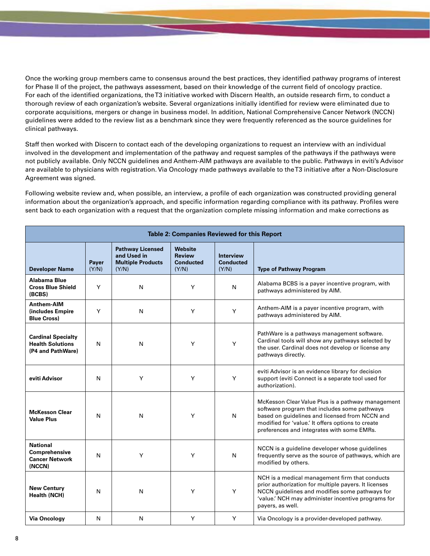Once the working group members came to consensus around the best practices, they identified pathway programs of interest for Phase II of the project, the pathways assessment, based on their knowledge of the current field of oncology practice. For each of the identified organizations, the T3 initiative worked with Discern Health, an outside research firm, to conduct a thorough review of each organization's website. Several organizations initially identified for review were eliminated due to corporate acquisitions, mergers or change in business model. In addition, National Comprehensive Cancer Network (NCCN) guidelines were added to the review list as a benchmark since they were frequently referenced as the source guidelines for clinical pathways.

Staff then worked with Discern to contact each of the developing organizations to request an interview with an individual involved in the development and implementation of the pathway and request samples of the pathways if the pathways were not publicly available. Only NCCN guidelines and Anthem-AIM pathways are available to the public. Pathways in eviti's Advisor are available to physicians with registration. Via Oncology made pathways available to the T3 initiative after a Non-Disclosure Agreement was signed.

Following website review and, when possible, an interview, a profile of each organization was constructed providing general information about the organization's approach, and specific information regarding compliance with its pathway. Profiles were sent back to each organization with a request that the organization complete missing information and make corrections as

| Table 2: Companies Reviewed for this Report                               |                |                                                                             |                                                              |                                               |                                                                                                                                                                                                                                                        |  |
|---------------------------------------------------------------------------|----------------|-----------------------------------------------------------------------------|--------------------------------------------------------------|-----------------------------------------------|--------------------------------------------------------------------------------------------------------------------------------------------------------------------------------------------------------------------------------------------------------|--|
| <b>Developer Name</b>                                                     | Payer<br>(Y/N) | <b>Pathway Licensed</b><br>and Used in<br><b>Multiple Products</b><br>(Y/N) | <b>Website</b><br><b>Review</b><br><b>Conducted</b><br>(Y/N) | <b>Interview</b><br><b>Conducted</b><br>(Y/N) | <b>Type of Pathway Program</b>                                                                                                                                                                                                                         |  |
| Alabama Blue<br><b>Cross Blue Shield</b><br>(BCBS)                        | Y              | N                                                                           | Y                                                            | N                                             | Alabama BCBS is a payer incentive program, with<br>pathways administered by AIM.                                                                                                                                                                       |  |
| <b>Anthem-AIM</b><br>(includes Empire)<br><b>Blue Cross)</b>              | Y              | N                                                                           | Y                                                            | Y                                             | Anthem-AIM is a payer incentive program, with<br>pathways administered by AIM.                                                                                                                                                                         |  |
| <b>Cardinal Specialty</b><br><b>Health Solutions</b><br>(P4 and PathWare) | N              | N                                                                           | Y                                                            | Y                                             | PathWare is a pathways management software.<br>Cardinal tools will show any pathways selected by<br>the user. Cardinal does not develop or license any<br>pathways directly.                                                                           |  |
| eviti Advisor                                                             | N              | Y                                                                           | Y                                                            | Y                                             | eviti Advisor is an evidence library for decision<br>support (eviti Connect is a separate tool used for<br>authorization).                                                                                                                             |  |
| <b>McKesson Clear</b><br><b>Value Plus</b>                                | N              | N                                                                           | Y                                                            | N                                             | McKesson Clear Value Plus is a pathway management<br>software program that includes some pathways<br>based on guidelines and licensed from NCCN and<br>modified for 'value.' It offers options to create<br>preferences and integrates with some EMRs. |  |
| <b>National</b><br>Comprehensive<br><b>Cancer Network</b><br>(NCCN)       | N              | Y                                                                           | Y                                                            | N                                             | NCCN is a guideline developer whose guidelines<br>frequently serve as the source of pathways, which are<br>modified by others.                                                                                                                         |  |
| <b>New Century</b><br><b>Health (NCH)</b>                                 | N              | N                                                                           | Y                                                            | Y                                             | NCH is a medical management firm that conducts<br>prior authorization for multiple payers. It licenses<br>NCCN guidelines and modifies some pathways for<br>'value.' NCH may administer incentive programs for<br>payers, as well.                     |  |
| <b>Via Oncology</b>                                                       | N              | N                                                                           | Y                                                            | Y                                             | Via Oncology is a provider-developed pathway.                                                                                                                                                                                                          |  |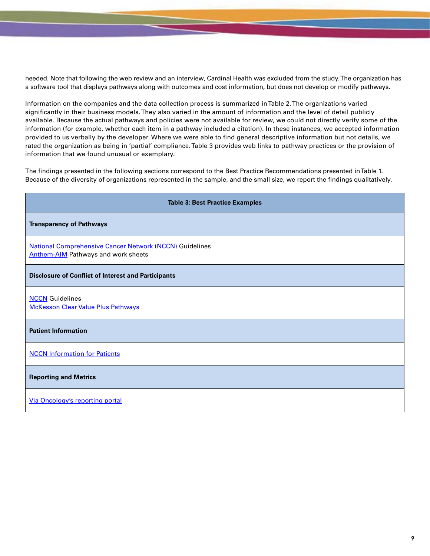needed. Note that following the web review and an interview, Cardinal Health was excluded from the study. The organization has a software tool that displays pathways along with outcomes and cost information, but does not develop or modify pathways.

Information on the companies and the data collection process is summarized in Table 2. The organizations varied significantly in their business models. They also varied in the amount of information and the level of detail publicly available. Because the actual pathways and policies were not available for review, we could not directly verify some of the information (for example, whether each item in a pathway included a citation). In these instances, we accepted information provided to us verbally by the developer. Where we were able to find general descriptive information but not details, we rated the organization as being in 'partial' compliance. Table 3 provides web links to pathway practices or the provision of information that we found unusual or exemplary.

The findings presented in the following sections correspond to the Best Practice Recommendations presented in Table 1. Because of the diversity of organizations represented in the sample, and the small size, we report the findings qualitatively.

| <b>Table 3: Best Practice Examples</b>                                                                       |  |  |  |  |  |
|--------------------------------------------------------------------------------------------------------------|--|--|--|--|--|
| <b>Transparency of Pathways</b>                                                                              |  |  |  |  |  |
| <b>National Comprehensive Cancer Network (NCCN) Guidelines</b><br><b>Anthem-AIM</b> Pathways and work sheets |  |  |  |  |  |
| <b>Disclosure of Conflict of Interest and Participants</b>                                                   |  |  |  |  |  |
| <b>NCCN</b> Guidelines<br><b>McKesson Clear Value Plus Pathways</b>                                          |  |  |  |  |  |
| <b>Patient Information</b>                                                                                   |  |  |  |  |  |
| <b>NCCN Information for Patients</b>                                                                         |  |  |  |  |  |
| <b>Reporting and Metrics</b>                                                                                 |  |  |  |  |  |
| Via Oncology's reporting portal                                                                              |  |  |  |  |  |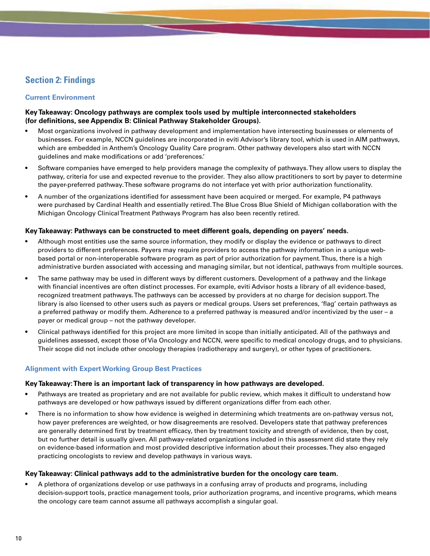# **Section 2: Findings**

# **Current Environment**

# **Key Takeaway: Oncology pathways are complex tools used by multiple interconnected stakeholders (for definitions, see Appendix B: Clinical Pathway Stakeholder Groups).**

- Most organizations involved in pathway development and implementation have intersecting businesses or elements of businesses. For example, NCCN guidelines are incorporated in eviti Advisor's library tool, which is used in AIM pathways, which are embedded in Anthem's Oncology Quality Care program. Other pathway developers also start with NCCN guidelines and make modifications or add 'preferences.'
- Software companies have emerged to help providers manage the complexity of pathways. They allow users to display the pathway, criteria for use and expected revenue to the provider. They also allow practitioners to sort by payer to determine the payer-preferred pathway. These software programs do not interface yet with prior authorization functionality.
- A number of the organizations identified for assessment have been acquired or merged. For example, P4 pathways were purchased by Cardinal Health and essentially retired. The Blue Cross Blue Shield of Michigan collaboration with the Michigan Oncology Clinical Treatment Pathways Program has also been recently retired.

# **Key Takeaway: Pathways can be constructed to meet different goals, depending on payers' needs.**

- Although most entities use the same source information, they modify or display the evidence or pathways to direct providers to different preferences. Payers may require providers to access the pathway information in a unique webbased portal or non-interoperable software program as part of prior authorization for payment. Thus, there is a high administrative burden associated with accessing and managing similar, but not identical, pathways from multiple sources.
- The same pathway may be used in different ways by different customers. Development of a pathway and the linkage with financial incentives are often distinct processes. For example, eviti Advisor hosts a library of all evidence-based, recognized treatment pathways. The pathways can be accessed by providers at no charge for decision support. The library is also licensed to other users such as payers or medical groups. Users set preferences, 'flag' certain pathways as a preferred pathway or modify them. Adherence to a preferred pathway is measured and/or incentivized by the user – a payer or medical group – not the pathway developer.
- Clinical pathways identified for this project are more limited in scope than initially anticipated. All of the pathways and guidelines assessed, except those of Via Oncology and NCCN, were specific to medical oncology drugs, and to physicians. Their scope did not include other oncology therapies (radiotherapy and surgery), or other types of practitioners.

# **Alignment with Expert Working Group Best Practices**

#### **Key Takeaway: There is an important lack of transparency in how pathways are developed.**

- Pathways are treated as proprietary and are not available for public review, which makes it difficult to understand how pathways are developed or how pathways issued by different organizations differ from each other.
- There is no information to show how evidence is weighed in determining which treatments are on-pathway versus not, how payer preferences are weighted, or how disagreements are resolved. Developers state that pathway preferences are generally determined first by treatment efficacy, then by treatment toxicity and strength of evidence, then by cost, but no further detail is usually given. All pathway-related organizations included in this assessment did state they rely on evidence-based information and most provided descriptive information about their processes. They also engaged practicing oncologists to review and develop pathways in various ways.

# **Key Takeaway: Clinical pathways add to the administrative burden for the oncology care team.**

• A plethora of organizations develop or use pathways in a confusing array of products and programs, including decision-support tools, practice management tools, prior authorization programs, and incentive programs, which means the oncology care team cannot assume all pathways accomplish a singular goal.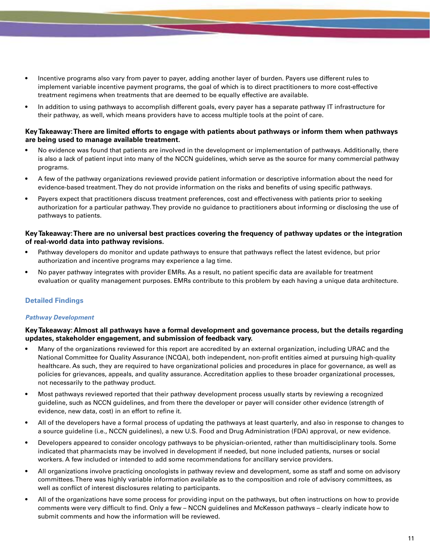- Incentive programs also vary from payer to payer, adding another layer of burden. Payers use different rules to implement variable incentive payment programs, the goal of which is to direct practitioners to more cost-effective treatment regimens when treatments that are deemed to be equally effective are available.
- In addition to using pathways to accomplish different goals, every payer has a separate pathway IT infrastructure for their pathway, as well, which means providers have to access multiple tools at the point of care.

# **Key Takeaway: There are limited efforts to engage with patients about pathways or inform them when pathways are being used to manage available treatment.**

- No evidence was found that patients are involved in the development or implementation of pathways. Additionally, there is also a lack of patient input into many of the NCCN guidelines, which serve as the source for many commercial pathway programs.
- A few of the pathway organizations reviewed provide patient information or descriptive information about the need for evidence-based treatment. They do not provide information on the risks and benefits of using specific pathways.
- Payers expect that practitioners discuss treatment preferences, cost and effectiveness with patients prior to seeking authorization for a particular pathway. They provide no guidance to practitioners about informing or disclosing the use of pathways to patients.

### **Key Takeaway: There are no universal best practices covering the frequency of pathway updates or the integration of real-world data into pathway revisions.**

- Pathway developers do monitor and update pathways to ensure that pathways reflect the latest evidence, but prior authorization and incentive programs may experience a lag time.
- No payer pathway integrates with provider EMRs. As a result, no patient specific data are available for treatment evaluation or quality management purposes. EMRs contribute to this problem by each having a unique data architecture.

# **Detailed Findings**

#### *Pathway Development*

# **Key Takeaway: Almost all pathways have a formal development and governance process, but the details regarding updates, stakeholder engagement, and submission of feedback vary.**

- Many of the organizations reviewed for this report are accredited by an external organization, including URAC and the National Committee for Quality Assurance (NCQA), both independent, non-profit entities aimed at pursuing high-quality healthcare. As such, they are required to have organizational policies and procedures in place for governance, as well as policies for grievances, appeals, and quality assurance. Accreditation applies to these broader organizational processes, not necessarily to the pathway product.
- Most pathways reviewed reported that their pathway development process usually starts by reviewing a recognized guideline, such as NCCN guidelines, and from there the developer or payer will consider other evidence (strength of evidence, new data, cost) in an effort to refine it.
- All of the developers have a formal process of updating the pathways at least quarterly, and also in response to changes to a source guideline (i.e., NCCN guidelines), a new U.S. Food and Drug Administration (FDA) approval, or new evidence.
- Developers appeared to consider oncology pathways to be physician-oriented, rather than multidisciplinary tools. Some indicated that pharmacists may be involved in development if needed, but none included patients, nurses or social workers. A few included or intended to add some recommendations for ancillary service providers.
- All organizations involve practicing oncologists in pathway review and development, some as staff and some on advisory committees. There was highly variable information available as to the composition and role of advisory committees, as well as conflict of interest disclosures relating to participants.
- All of the organizations have some process for providing input on the pathways, but often instructions on how to provide comments were very difficult to find. Only a few – NCCN guidelines and McKesson pathways – clearly indicate how to submit comments and how the information will be reviewed.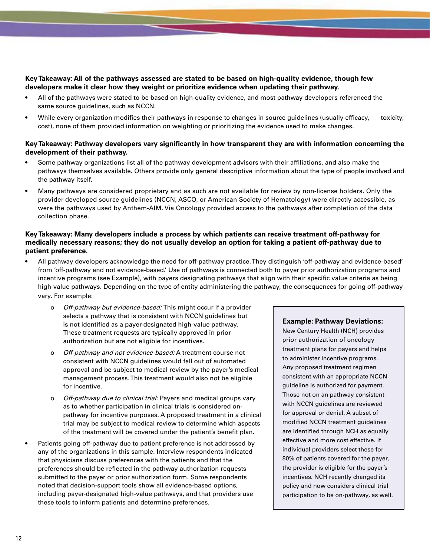# **Key Takeaway: All of the pathways assessed are stated to be based on high-quality evidence, though few developers make it clear how they weight or prioritize evidence when updating their pathway.**

- All of the pathways were stated to be based on high-quality evidence, and most pathway developers referenced the same source guidelines, such as NCCN.
- While every organization modifies their pathways in response to changes in source guidelines (usually efficacy, toxicity, cost), none of them provided information on weighting or prioritizing the evidence used to make changes.

# **Key Takeaway: Pathway developers vary significantly in how transparent they are with information concerning the development of their pathway.**

- Some pathway organizations list all of the pathway development advisors with their affiliations, and also make the pathways themselves available. Others provide only general descriptive information about the type of people involved and the pathway itself.
- Many pathways are considered proprietary and as such are not available for review by non-license holders. Only the provider-developed source guidelines (NCCN, ASCO, or American Society of Hematology) were directly accessible, as were the pathways used by Anthem-AIM. Via Oncology provided access to the pathways after completion of the data collection phase.

# **Key Takeaway: Many developers include a process by which patients can receive treatment off-pathway for medically necessary reasons; they do not usually develop an option for taking a patient off-pathway due to patient preference.**

- All pathway developers acknowledge the need for off-pathway practice. They distinguish 'off-pathway and evidence-based' from 'off-pathway and not evidence-based.' Use of pathways is connected both to payer prior authorization programs and incentive programs (see Example), with payers designating pathways that align with their specific value criteria as being high-value pathways. Depending on the type of entity administering the pathway, the consequences for going off-pathway vary. For example:
	- o Off-pathway but evidence-based: This might occur if a provider selects a pathway that is consistent with NCCN guidelines but is not identified as a payer-designated high-value pathway. These treatment requests are typically approved in prior authorization but are not eligible for incentives.
	- o Off-pathway and not evidence-based: A treatment course not consistent with NCCN guidelines would fall out of automated approval and be subject to medical review by the payer's medical management process. This treatment would also not be eligible for incentive.
	- o Off-pathway due to clinical trial: Payers and medical groups vary as to whether participation in clinical trials is considered onpathway for incentive purposes. A proposed treatment in a clinical trial may be subject to medical review to determine which aspects of the treatment will be covered under the patient's benefit plan.
- Patients going off-pathway due to patient preference is not addressed by any of the organizations in this sample. Interview respondents indicated that physicians discuss preferences with the patients and that the preferences should be reflected in the pathway authorization requests submitted to the payer or prior authorization form. Some respondents noted that decision-support tools show all evidence-based options, including payer-designated high-value pathways, and that providers use these tools to inform patients and determine preferences.

# **Example: Pathway Deviations:**

New Century Health (NCH) provides prior authorization of oncology treatment plans for payers and helps to administer incentive programs. Any proposed treatment regimen consistent with an appropriate NCCN guideline is authorized for payment. Those not on an pathway consistent with NCCN guidelines are reviewed for approval or denial. A subset of modified NCCN treatment guidelines are identified through NCH as equally effective and more cost effective. If individual providers select these for 80% of patients covered for the payer, the provider is eligible for the payer's incentives. NCH recently changed its policy and now considers clinical trial participation to be on-pathway, as well.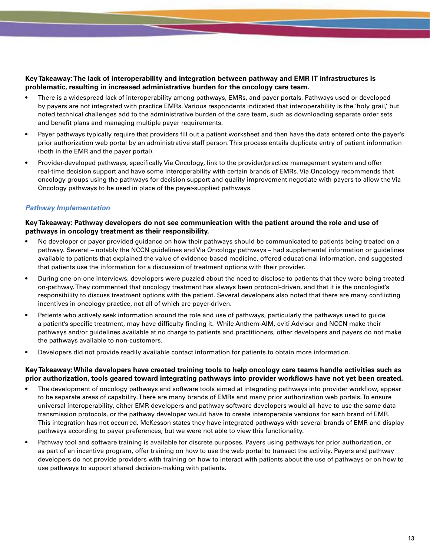# **Key Takeaway: The lack of interoperability and integration between pathway and EMR IT infrastructures is problematic, resulting in increased administrative burden for the oncology care team.**

- There is a widespread lack of interoperability among pathways, EMRs, and payer portals. Pathways used or developed by payers are not integrated with practice EMRs. Various respondents indicated that interoperability is the 'holy grail,' but noted technical challenges add to the administrative burden of the care team, such as downloading separate order sets and benefit plans and managing multiple payer requirements.
- Payer pathways typically require that providers fill out a patient worksheet and then have the data entered onto the payer's prior authorization web portal by an administrative staff person. This process entails duplicate entry of patient information (both in the EMR and the payer portal).
- Provider-developed pathways, specifically Via Oncology, link to the provider/practice management system and offer real-time decision support and have some interoperability with certain brands of EMRs. Via Oncology recommends that oncology groups using the pathways for decision support and quality improvement negotiate with payers to allow the Via Oncology pathways to be used in place of the payer-supplied pathways.

# *Pathway Implementation*

### **Key Takeaway: Pathway developers do not see communication with the patient around the role and use of pathways in oncology treatment as their responsibility.**

- No developer or payer provided guidance on how their pathways should be communicated to patients being treated on a pathway. Several – notably the NCCN guidelines and Via Oncology pathways – had supplemental information or guidelines available to patients that explained the value of evidence-based medicine, offered educational information, and suggested that patients use the information for a discussion of treatment options with their provider.
- During one-on-one interviews, developers were puzzled about the need to disclose to patients that they were being treated on-pathway. They commented that oncology treatment has always been protocol-driven, and that it is the oncologist's responsibility to discuss treatment options with the patient. Several developers also noted that there are many conflicting incentives in oncology practice, not all of which are payer-driven.
- Patients who actively seek information around the role and use of pathways, particularly the pathways used to guide a patient's specific treatment, may have difficulty finding it. While Anthem-AIM, eviti Advisor and NCCN make their pathways and/or guidelines available at no charge to patients and practitioners, other developers and payers do not make the pathways available to non-customers.
- Developers did not provide readily available contact information for patients to obtain more information.

#### **Key Takeaway: While developers have created training tools to help oncology care teams handle activities such as prior authorization, tools geared toward integrating pathways into provider workflows have not yet been created.**

- The development of oncology pathways and software tools aimed at integrating pathways into provider workflow, appear to be separate areas of capability. There are many brands of EMRs and many prior authorization web portals. To ensure universal interoperability, either EMR developers and pathway software developers would all have to use the same data transmission protocols, or the pathway developer would have to create interoperable versions for each brand of EMR. This integration has not occurred. McKesson states they have integrated pathways with several brands of EMR and display pathways according to payer preferences, but we were not able to view this functionality.
- Pathway tool and software training is available for discrete purposes. Payers using pathways for prior authorization, or as part of an incentive program, offer training on how to use the web portal to transact the activity. Payers and pathway developers do not provide providers with training on how to interact with patients about the use of pathways or on how to use pathways to support shared decision-making with patients.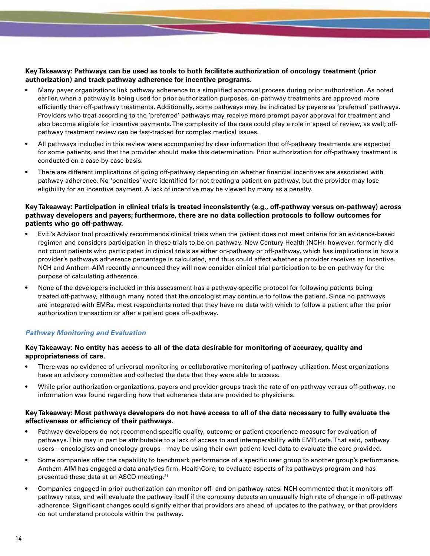# **Key Takeaway: Pathways can be used as tools to both facilitate authorization of oncology treatment (prior authorization) and track pathway adherence for incentive programs.**

- Many payer organizations link pathway adherence to a simplified approval process during prior authorization. As noted earlier, when a pathway is being used for prior authorization purposes, on-pathway treatments are approved more efficiently than off-pathway treatments. Additionally, some pathways may be indicated by payers as 'preferred' pathways. Providers who treat according to the 'preferred' pathways may receive more prompt payer approval for treatment and also become eligible for incentive payments. The complexity of the case could play a role in speed of review, as well; offpathway treatment review can be fast-tracked for complex medical issues.
- All pathways included in this review were accompanied by clear information that off-pathway treatments are expected for some patients, and that the provider should make this determination. Prior authorization for off-pathway treatment is conducted on a case-by-case basis.
- There are different implications of going off-pathway depending on whether financial incentives are associated with pathway adherence. No 'penalties' were identified for not treating a patient on-pathway, but the provider may lose eligibility for an incentive payment. A lack of incentive may be viewed by many as a penalty.

# **Key Takeaway: Participation in clinical trials is treated inconsistently (e.g., off-pathway versus on-pathway) across pathway developers and payers; furthermore, there are no data collection protocols to follow outcomes for patients who go off-pathway.**

- Eviti's Advisor tool proactively recommends clinical trials when the patient does not meet criteria for an evidence-based regimen and considers participation in these trials to be on-pathway. New Century Health (NCH), however, formerly did not count patients who participated in clinical trials as either on-pathway or off-pathway, which has implications in how a provider's pathways adherence percentage is calculated, and thus could affect whether a provider receives an incentive. NCH and Anthem-AIM recently announced they will now consider clinical trial participation to be on-pathway for the purpose of calculating adherence.
- None of the developers included in this assessment has a pathway-specific protocol for following patients being treated off-pathway, although many noted that the oncologist may continue to follow the patient. Since no pathways are integrated with EMRs, most respondents noted that they have no data with which to follow a patient after the prior authorization transaction or after a patient goes off-pathway.

# *Pathway Monitoring and Evaluation*

# **Key Takeaway: No entity has access to all of the data desirable for monitoring of accuracy, quality and appropriateness of care.**

- There was no evidence of universal monitoring or collaborative monitoring of pathway utilization. Most organizations have an advisory committee and collected the data that they were able to access.
- While prior authorization organizations, payers and provider groups track the rate of on-pathway versus off-pathway, no information was found regarding how that adherence data are provided to physicians.

# **Key Takeaway: Most pathways developers do not have access to all of the data necessary to fully evaluate the effectiveness or efficiency of their pathways.**

- Pathway developers do not recommend specific quality, outcome or patient experience measure for evaluation of pathways. This may in part be attributable to a lack of access to and interoperability with EMR data. That said, pathway users – oncologists and oncology groups – may be using their own patient-level data to evaluate the care provided.
- Some companies offer the capability to benchmark performance of a specific user group to another group's performance. Anthem-AIM has engaged a data analytics firm, HealthCore, to evaluate aspects of its pathways program and has presented these data at an ASCO meeting.21
- Companies engaged in prior authorization can monitor off- and on-pathway rates. NCH commented that it monitors offpathway rates, and will evaluate the pathway itself if the company detects an unusually high rate of change in off-pathway adherence. Significant changes could signify either that providers are ahead of updates to the pathway, or that providers do not understand protocols within the pathway.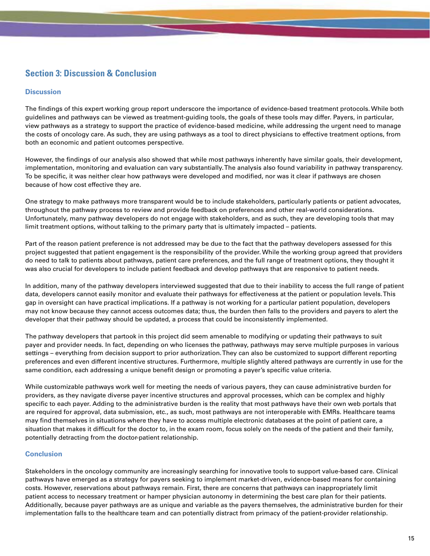# **Section 3: Discussion & Conclusion**

### **Discussion**

The findings of this expert working group report underscore the importance of evidence-based treatment protocols. While both guidelines and pathways can be viewed as treatment-guiding tools, the goals of these tools may differ. Payers, in particular, view pathways as a strategy to support the practice of evidence-based medicine, while addressing the urgent need to manage the costs of oncology care. As such, they are using pathways as a tool to direct physicians to effective treatment options, from both an economic and patient outcomes perspective.

However, the findings of our analysis also showed that while most pathways inherently have similar goals, their development, implementation, monitoring and evaluation can vary substantially. The analysis also found variability in pathway transparency. To be specific, it was neither clear how pathways were developed and modified, nor was it clear if pathways are chosen because of how cost effective they are.

One strategy to make pathways more transparent would be to include stakeholders, particularly patients or patient advocates, throughout the pathway process to review and provide feedback on preferences and other real-world considerations. Unfortunately, many pathway developers do not engage with stakeholders, and as such, they are developing tools that may limit treatment options, without talking to the primary party that is ultimately impacted – patients.

Part of the reason patient preference is not addressed may be due to the fact that the pathway developers assessed for this project suggested that patient engagement is the responsibility of the provider. While the working group agreed that providers do need to talk to patients about pathways, patient care preferences, and the full range of treatment options, they thought it was also crucial for developers to include patient feedback and develop pathways that are responsive to patient needs.

In addition, many of the pathway developers interviewed suggested that due to their inability to access the full range of patient data, developers cannot easily monitor and evaluate their pathways for effectiveness at the patient or population levels. This gap in oversight can have practical implications. If a pathway is not working for a particular patient population, developers may not know because they cannot access outcomes data; thus, the burden then falls to the providers and payers to alert the developer that their pathway should be updated, a process that could be inconsistently implemented.

The pathway developers that partook in this project did seem amenable to modifying or updating their pathways to suit payer and provider needs. In fact, depending on who licenses the pathway, pathways may serve multiple purposes in various settings – everything from decision support to prior authorization. They can also be customized to support different reporting preferences and even different incentive structures. Furthermore, multiple slightly altered pathways are currently in use for the same condition, each addressing a unique benefit design or promoting a payer's specific value criteria.

While customizable pathways work well for meeting the needs of various payers, they can cause administrative burden for providers, as they navigate diverse payer incentive structures and approval processes, which can be complex and highly specific to each payer. Adding to the administrative burden is the reality that most pathways have their own web portals that are required for approval, data submission, etc., as such, most pathways are not interoperable with EMRs. Healthcare teams may find themselves in situations where they have to access multiple electronic databases at the point of patient care, a situation that makes it difficult for the doctor to, in the exam room, focus solely on the needs of the patient and their family, potentially detracting from the doctor-patient relationship.

# **Conclusion**

Stakeholders in the oncology community are increasingly searching for innovative tools to support value-based care. Clinical pathways have emerged as a strategy for payers seeking to implement market-driven, evidence-based means for containing costs. However, reservations about pathways remain. First, there are concerns that pathways can inappropriately limit patient access to necessary treatment or hamper physician autonomy in determining the best care plan for their patients. Additionally, because payer pathways are as unique and variable as the payers themselves, the administrative burden for their implementation falls to the healthcare team and can potentially distract from primacy of the patient-provider relationship.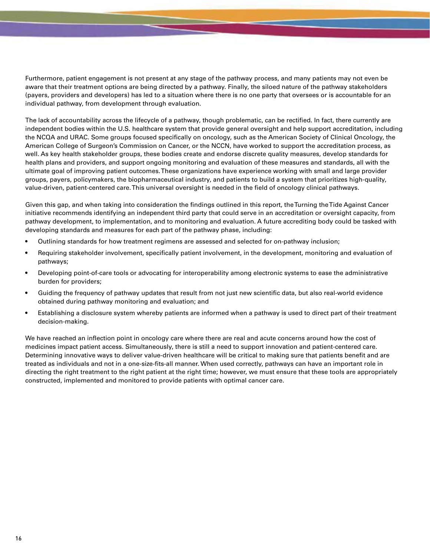Furthermore, patient engagement is not present at any stage of the pathway process, and many patients may not even be aware that their treatment options are being directed by a pathway. Finally, the siloed nature of the pathway stakeholders (payers, providers and developers) has led to a situation where there is no one party that oversees or is accountable for an individual pathway, from development through evaluation.

The lack of accountability across the lifecycle of a pathway, though problematic, can be rectified. In fact, there currently are independent bodies within the U.S. healthcare system that provide general oversight and help support accreditation, including the NCQA and URAC. Some groups focused specifically on oncology, such as the American Society of Clinical Oncology, the American College of Surgeon's Commission on Cancer, or the NCCN, have worked to support the accreditation process, as well. As key health stakeholder groups, these bodies create and endorse discrete quality measures, develop standards for health plans and providers, and support ongoing monitoring and evaluation of these measures and standards, all with the ultimate goal of improving patient outcomes. These organizations have experience working with small and large provider groups, payers, policymakers, the biopharmaceutical industry, and patients to build a system that prioritizes high-quality, value-driven, patient-centered care. This universal oversight is needed in the field of oncology clinical pathways.

Given this gap, and when taking into consideration the findings outlined in this report, the Turning the Tide Against Cancer initiative recommends identifying an independent third party that could serve in an accreditation or oversight capacity, from pathway development, to implementation, and to monitoring and evaluation. A future accrediting body could be tasked with developing standards and measures for each part of the pathway phase, including:

- Outlining standards for how treatment regimens are assessed and selected for on-pathway inclusion;
- Requiring stakeholder involvement, specifically patient involvement, in the development, monitoring and evaluation of pathways;
- Developing point-of-care tools or advocating for interoperability among electronic systems to ease the administrative burden for providers;
- Guiding the frequency of pathway updates that result from not just new scientific data, but also real-world evidence obtained during pathway monitoring and evaluation; and
- Establishing a disclosure system whereby patients are informed when a pathway is used to direct part of their treatment decision-making.

We have reached an inflection point in oncology care where there are real and acute concerns around how the cost of medicines impact patient access. Simultaneously, there is still a need to support innovation and patient-centered care. Determining innovative ways to deliver value-driven healthcare will be critical to making sure that patients benefit and are treated as individuals and not in a one-size-fits-all manner. When used correctly, pathways can have an important role in directing the right treatment to the right patient at the right time; however, we must ensure that these tools are appropriately constructed, implemented and monitored to provide patients with optimal cancer care.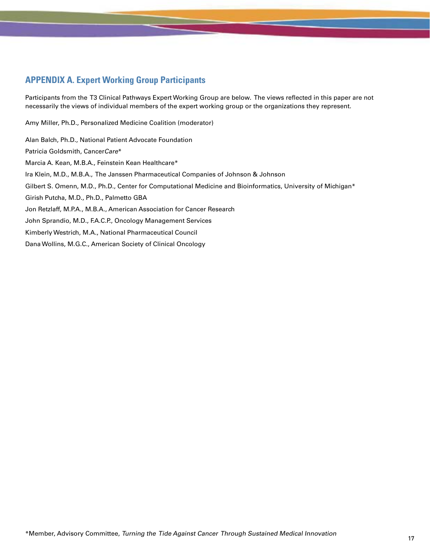# **APPENDIX A. Expert Working Group Participants**

Participants from the T3 Clinical Pathways Expert Working Group are below. The views reflected in this paper are not necessarily the views of individual members of the expert working group or the organizations they represent.

Amy Miller, Ph.D., Personalized Medicine Coalition (moderator)

Alan Balch, Ph.D., National Patient Advocate Foundation Patricia Goldsmith, CancerCare\* Marcia A. Kean, M.B.A., Feinstein Kean Healthcare\* Ira Klein, M.D., M.B.A., The Janssen Pharmaceutical Companies of Johnson & Johnson Gilbert S. Omenn, M.D., Ph.D., Center for Computational Medicine and Bioinformatics, University of Michigan\* Girish Putcha, M.D., Ph.D., Palmetto GBA Jon Retzlaff, M.P.A., M.B.A., American Association for Cancer Research John Sprandio, M.D., F.A.C.P., Oncology Management Services Kimberly Westrich, M.A., National Pharmaceutical Council Dana Wollins, M.G.C., American Society of Clinical Oncology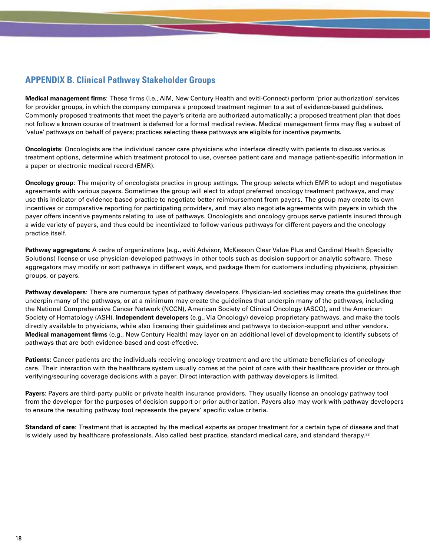# **APPENDIX B. Clinical Pathway Stakeholder Groups**

**Medical management firms**: These firms (i.e., AIM, New Century Health and eviti-Connect) perform 'prior authorization' services for provider groups, in which the company compares a proposed treatment regimen to a set of evidence-based guidelines. Commonly proposed treatments that meet the payer's criteria are authorized automatically; a proposed treatment plan that does not follow a known course of treatment is deferred for a formal medical review. Medical management firms may flag a subset of 'value' pathways on behalf of payers; practices selecting these pathways are eligible for incentive payments.

**Oncologists**: Oncologists are the individual cancer care physicians who interface directly with patients to discuss various treatment options, determine which treatment protocol to use, oversee patient care and manage patient-specific information in a paper or electronic medical record (EMR).

**Oncology group**: The majority of oncologists practice in group settings. The group selects which EMR to adopt and negotiates agreements with various payers. Sometimes the group will elect to adopt preferred oncology treatment pathways, and may use this indicator of evidence-based practice to negotiate better reimbursement from payers. The group may create its own incentives or comparative reporting for participating providers, and may also negotiate agreements with payers in which the payer offers incentive payments relating to use of pathways. Oncologists and oncology groups serve patients insured through a wide variety of payers, and thus could be incentivized to follow various pathways for different payers and the oncology practice itself.

**Pathway aggregators**: A cadre of organizations (e.g., eviti Advisor, McKesson Clear Value Plus and Cardinal Health Specialty Solutions) license or use physician-developed pathways in other tools such as decision-support or analytic software. These aggregators may modify or sort pathways in different ways, and package them for customers including physicians, physician groups, or payers.

**Pathway developers**: There are numerous types of pathway developers. Physician-led societies may create the guidelines that underpin many of the pathways, or at a minimum may create the guidelines that underpin many of the pathways, including the National Comprehensive Cancer Network (NCCN), American Society of Clinical Oncology (ASCO), and the American Society of Hematology (ASH). **Independent developers** (e.g., Via Oncology) develop proprietary pathways, and make the tools directly available to physicians, while also licensing their guidelines and pathways to decision-support and other vendors. **Medical management firms** (e.g., New Century Health) may layer on an additional level of development to identify subsets of pathways that are both evidence-based and cost-effective.

**Patients**: Cancer patients are the individuals receiving oncology treatment and are the ultimate beneficiaries of oncology care. Their interaction with the healthcare system usually comes at the point of care with their healthcare provider or through verifying/securing coverage decisions with a payer. Direct interaction with pathway developers is limited.

**Payers**: Payers are third-party public or private health insurance providers. They usually license an oncology pathway tool from the developer for the purposes of decision support or prior authorization. Payers also may work with pathway developers to ensure the resulting pathway tool represents the payers' specific value criteria.

**Standard of care**: Treatment that is accepted by the medical experts as proper treatment for a certain type of disease and that is widely used by healthcare professionals. Also called best practice, standard medical care, and standard therapy.<sup>22</sup>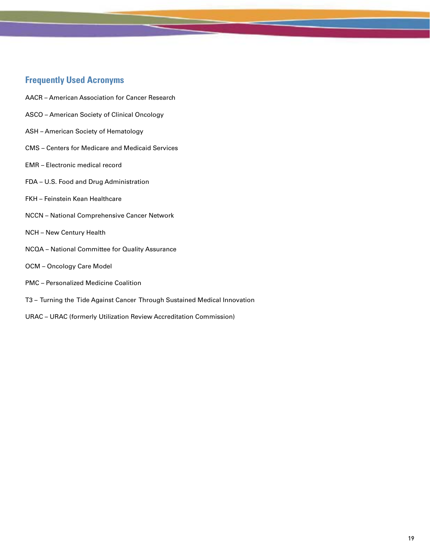# **Frequently Used Acronyms**

- AACR American Association for Cancer Research
- ASCO American Society of Clinical Oncology
- ASH American Society of Hematology
- CMS Centers for Medicare and Medicaid Services
- EMR Electronic medical record
- FDA U.S. Food and Drug Administration
- FKH Feinstein Kean Healthcare
- NCCN National Comprehensive Cancer Network
- NCH New Century Health
- NCQA National Committee for Quality Assurance
- OCM Oncology Care Model
- PMC Personalized Medicine Coalition
- T3 Turning the Tide Against Cancer Through Sustained Medical Innovation
- URAC URAC (formerly Utilization Review Accreditation Commission)